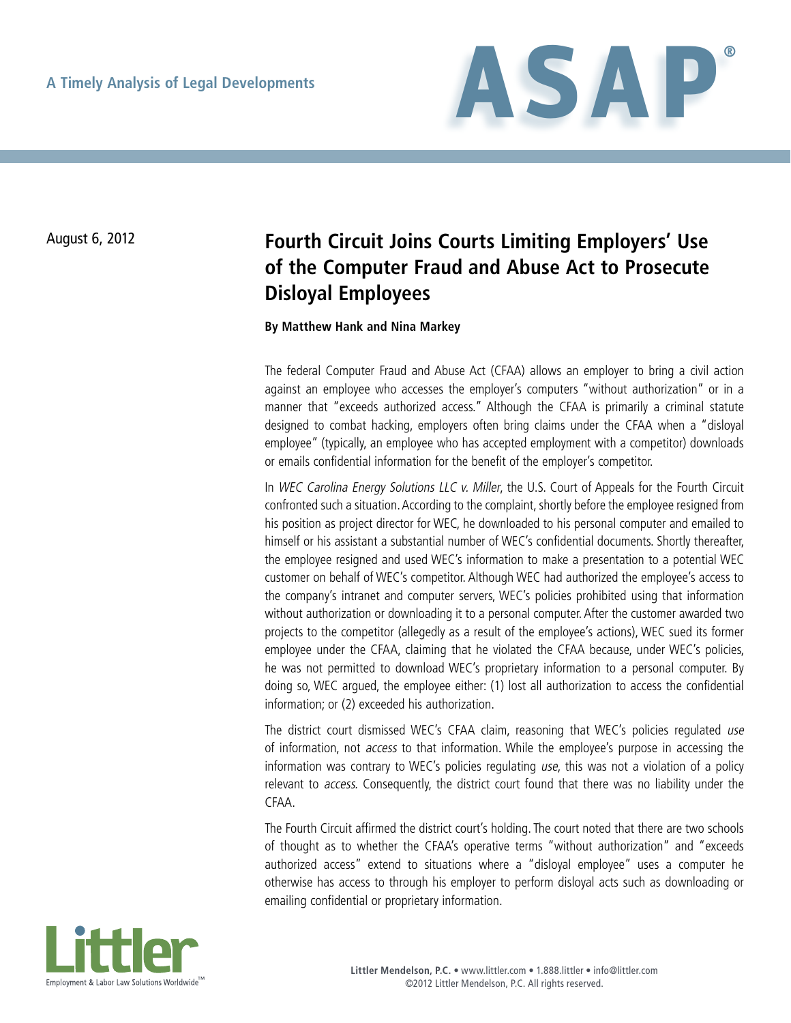

## August 6, 2012 **Fourth Circuit Joins Courts Limiting Employers' Use of the Computer Fraud and Abuse Act to Prosecute Disloyal Employees**

**By Matthew Hank and Nina Markey**

The federal Computer Fraud and Abuse Act (CFAA) allows an employer to bring a civil action against an employee who accesses the employer's computers "without authorization" or in a manner that "exceeds authorized access." Although the CFAA is primarily a criminal statute designed to combat hacking, employers often bring claims under the CFAA when a "disloyal employee" (typically, an employee who has accepted employment with a competitor) downloads or emails confidential information for the benefit of the employer's competitor.

In WEC Carolina Energy Solutions LLC v. Miller, the U.S. Court of Appeals for the Fourth Circuit confronted such a situation. According to the complaint, shortly before the employee resigned from his position as project director for WEC, he downloaded to his personal computer and emailed to himself or his assistant a substantial number of WEC's confidential documents. Shortly thereafter, the employee resigned and used WEC's information to make a presentation to a potential WEC customer on behalf of WEC's competitor. Although WEC had authorized the employee's access to the company's intranet and computer servers, WEC's policies prohibited using that information without authorization or downloading it to a personal computer. After the customer awarded two projects to the competitor (allegedly as a result of the employee's actions), WEC sued its former employee under the CFAA, claiming that he violated the CFAA because, under WEC's policies, he was not permitted to download WEC's proprietary information to a personal computer. By doing so, WEC argued, the employee either: (1) lost all authorization to access the confidential information; or (2) exceeded his authorization.

The district court dismissed WEC's CFAA claim, reasoning that WEC's policies regulated use of information, not access to that information. While the employee's purpose in accessing the information was contrary to WEC's policies regulating use, this was not a violation of a policy relevant to access. Consequently, the district court found that there was no liability under the CFAA.

The Fourth Circuit affirmed the district court's holding. The court noted that there are two schools of thought as to whether the CFAA's operative terms "without authorization" and "exceeds authorized access" extend to situations where a "disloyal employee" uses a computer he otherwise has access to through his employer to perform disloyal acts such as downloading or emailing confidential or proprietary information.